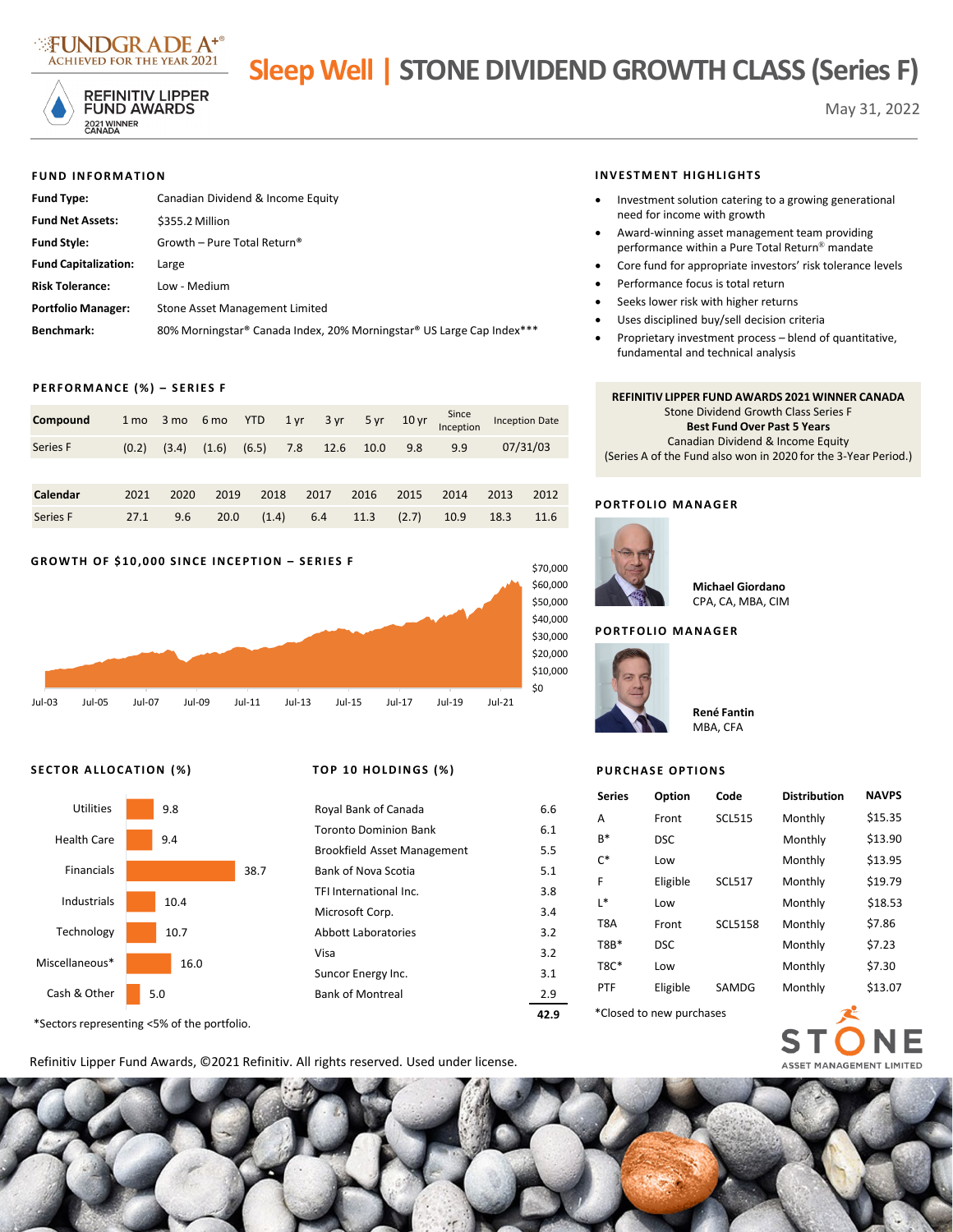

# **Sleep Well | STONE DIVIDEND GROWTH CLASS (Series F)**



**REFINITIV LIPPER FUND AWARDS** 2021 WINNER<br>CANADA

#### **FUND INFORMATION**

| <b>Fund Type:</b>           | Canadian Dividend & Income Equity                                     |
|-----------------------------|-----------------------------------------------------------------------|
| <b>Fund Net Assets:</b>     | \$355.2 Million                                                       |
| <b>Fund Style:</b>          | Growth – Pure Total Return®                                           |
| <b>Fund Capitalization:</b> | Large                                                                 |
| <b>Risk Tolerance:</b>      | Low - Medium                                                          |
| <b>Portfolio Manager:</b>   | Stone Asset Management Limited                                        |
| Benchmark:                  | 80% Morningstar® Canada Index, 20% Morningstar® US Large Cap Index*** |

# **PERFORMANCE (%) – SERIES F**

| Compound |  |  |  |  |                                                       | 1 mo 3 mo 6 mo YTD 1 yr 3 yr 5 yr 10 yr Since Inception Date |
|----------|--|--|--|--|-------------------------------------------------------|--------------------------------------------------------------|
| Series F |  |  |  |  | $(0.2)$ $(3.4)$ $(1.6)$ $(6.5)$ 7.8 12.6 10.0 9.8 9.9 | 07/31/03                                                     |

| Series F 27.1 9.6 20.0 (1.4) 6.4 11.3 (2.7) 10.9 18.3 11.6 |  |  |  |  |  |
|------------------------------------------------------------|--|--|--|--|--|

### **GROWTH OF \$10,000 SINCE INCEPTION – SERIES F**



# **SECTOR ALLOCATION (%) TOP 10 HOLDINGS (%)**



\*Sectors representing <5% of the portfolio.

|                                    | 17 ( |
|------------------------------------|------|
| <b>Bank of Montreal</b>            | 2.9  |
| Suncor Energy Inc.                 | 3.1  |
| Visa                               | 3.2  |
| Abbott Laboratories                | 3.2  |
| Microsoft Corp.                    | 3.4  |
| TFI International Inc.             | 3.8  |
| <b>Bank of Nova Scotia</b>         | 5.1  |
| <b>Brookfield Asset Management</b> | 5.5  |
| <b>Toronto Dominion Bank</b>       | 6.1  |
| Royal Bank of Canada               | 6.6  |
|                                    |      |

#### **INVESTMENT HIGHLIGHTS**

- Investment solution catering to a growing generational need for income with growth
- Award-winning asset management team providing performance within a Pure Total Return® mandate
- Core fund for appropriate investors' risk tolerance levels
- Performance focus is total return
- Seeks lower risk with higher returns
- Uses disciplined buy/sell decision criteria
- Proprietary investment process blend of quantitative, fundamental and technical analysis

# **REFINITIV LIPPER FUND AWARDS 2021 WINNER CANADA** Stone Dividend Growth Class Series F **Best Fund Over Past 5 Years**  Canadian Dividend & Income Equity (Series A of the Fund also won in 2020 for the 3-Year Period.)

# **PORTFOLIO MANAGER**



#### **Michael Giordano** CPA, CA, MBA, CIM

#### **PORTFOLIO MANAGER**



**René Fantin** MBA, CFA

# **PURCHASE OPTIONS**

|      | 9.8                                   |      | Royal Bank of Canada               | 6.6  | <b>Series</b>            | Option     | Code           | <b>Distribution</b> | <b>NAVPS</b> |  |
|------|---------------------------------------|------|------------------------------------|------|--------------------------|------------|----------------|---------------------|--------------|--|
|      |                                       |      |                                    |      | A                        | Front      | <b>SCL515</b>  | Monthly             | \$15.35      |  |
| 9.4  |                                       |      | <b>Toronto Dominion Bank</b>       | 6.1  | $B*$                     | <b>DSC</b> |                | Monthly             | \$13.90      |  |
|      |                                       |      | <b>Brookfield Asset Management</b> | 5.5  | $C^*$                    | Low        |                | Monthly             | \$13.95      |  |
|      |                                       | 38.7 | Bank of Nova Scotia                | 5.1  |                          |            |                |                     |              |  |
| 10.4 |                                       |      | TFI International Inc.             | 3.8  | F                        | Eligible   | <b>SCL517</b>  | Monthly             | \$19.79      |  |
|      |                                       |      |                                    |      | $L^*$                    | Low        |                | Monthly             | \$18.53      |  |
| 10.7 |                                       |      | Microsoft Corp.                    | 3.4  | T8A                      | Front      | <b>SCL5158</b> | Monthly             | \$7.86       |  |
|      |                                       |      | <b>Abbott Laboratories</b>         | 3.2  | $T8B*$                   |            |                |                     |              |  |
| 16.0 |                                       |      | Visa                               | 3.2  |                          | <b>DSC</b> |                | Monthly             | \$7.23       |  |
|      |                                       |      | Suncor Energy Inc.                 | 3.1  | <b>T8C*</b>              | Low        |                | Monthly             | \$7.30       |  |
| 5.0  |                                       |      | <b>Bank of Montreal</b>            | 2.9  | PTF                      | Eligible   | SAMDG          | Monthly             | \$13.07      |  |
|      |                                       |      |                                    |      |                          |            |                |                     |              |  |
|      | $-0.00 \pm 0.00$ and $-0.00 \pm 0.00$ |      |                                    | 42.9 | *Closed to new purchases |            |                |                     |              |  |

ST

NE

Refinitiv Lipper Fund Awards, ©2021 Refinitiv. All rights reserved. Used under license.